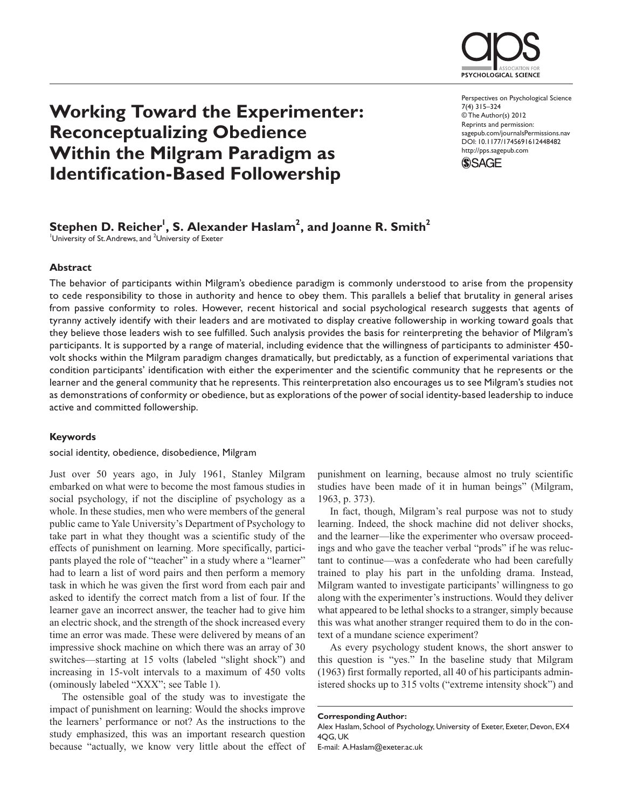

# **Working Toward the Experimenter: Reconceptualizing Obedience Within the Milgram Paradigm as Identification-Based Followership**

Perspectives on Psychological Science 7(4) 315–324 © The Author(s) 2012 Reprints and permission: sagepub.com/journalsPermissions.nav DOI: 10.1177/1745691612448482 http://pps.sagepub.com



# $\mathsf{Stephen\ D.\ Reicher^!}, \mathsf{S.\ Alexander\ Haslam}^2, \mathsf{and\ Joanne\ R.\ Smith}^2$

University of St. Andrews, and <sup>2</sup>University of Exeter

# **Abstract**

The behavior of participants within Milgram's obedience paradigm is commonly understood to arise from the propensity to cede responsibility to those in authority and hence to obey them. This parallels a belief that brutality in general arises from passive conformity to roles. However, recent historical and social psychological research suggests that agents of tyranny actively identify with their leaders and are motivated to display creative followership in working toward goals that they believe those leaders wish to see fulfilled. Such analysis provides the basis for reinterpreting the behavior of Milgram's participants. It is supported by a range of material, including evidence that the willingness of participants to administer 450 volt shocks within the Milgram paradigm changes dramatically, but predictably, as a function of experimental variations that condition participants' identification with either the experimenter and the scientific community that he represents or the learner and the general community that he represents. This reinterpretation also encourages us to see Milgram's studies not as demonstrations of conformity or obedience, but as explorations of the power of social identity-based leadership to induce active and committed followership.

# **Keywords**

#### social identity, obedience, disobedience, Milgram

Just over 50 years ago, in July 1961, Stanley Milgram embarked on what were to become the most famous studies in social psychology, if not the discipline of psychology as a whole. In these studies, men who were members of the general public came to Yale University's Department of Psychology to take part in what they thought was a scientific study of the effects of punishment on learning. More specifically, participants played the role of "teacher" in a study where a "learner" had to learn a list of word pairs and then perform a memory task in which he was given the first word from each pair and asked to identify the correct match from a list of four. If the learner gave an incorrect answer, the teacher had to give him an electric shock, and the strength of the shock increased every time an error was made. These were delivered by means of an impressive shock machine on which there was an array of 30 switches—starting at 15 volts (labeled "slight shock") and increasing in 15-volt intervals to a maximum of 450 volts (ominously labeled "XXX"; see Table 1).

The ostensible goal of the study was to investigate the impact of punishment on learning: Would the shocks improve the learners' performance or not? As the instructions to the study emphasized, this was an important research question because "actually, we know very little about the effect of punishment on learning, because almost no truly scientific studies have been made of it in human beings" (Milgram, 1963, p. 373).

In fact, though, Milgram's real purpose was not to study learning. Indeed, the shock machine did not deliver shocks, and the learner—like the experimenter who oversaw proceedings and who gave the teacher verbal "prods" if he was reluctant to continue—was a confederate who had been carefully trained to play his part in the unfolding drama. Instead, Milgram wanted to investigate participants' willingness to go along with the experimenter's instructions. Would they deliver what appeared to be lethal shocks to a stranger, simply because this was what another stranger required them to do in the context of a mundane science experiment?

As every psychology student knows, the short answer to this question is "yes." In the baseline study that Milgram (1963) first formally reported, all 40 of his participants administered shocks up to 315 volts ("extreme intensity shock") and

**Corresponding Author:**

E-mail: A.Haslam@exeter.ac.uk

Alex Haslam, School of Psychology, University of Exeter, Exeter, Devon, EX4 4QG, UK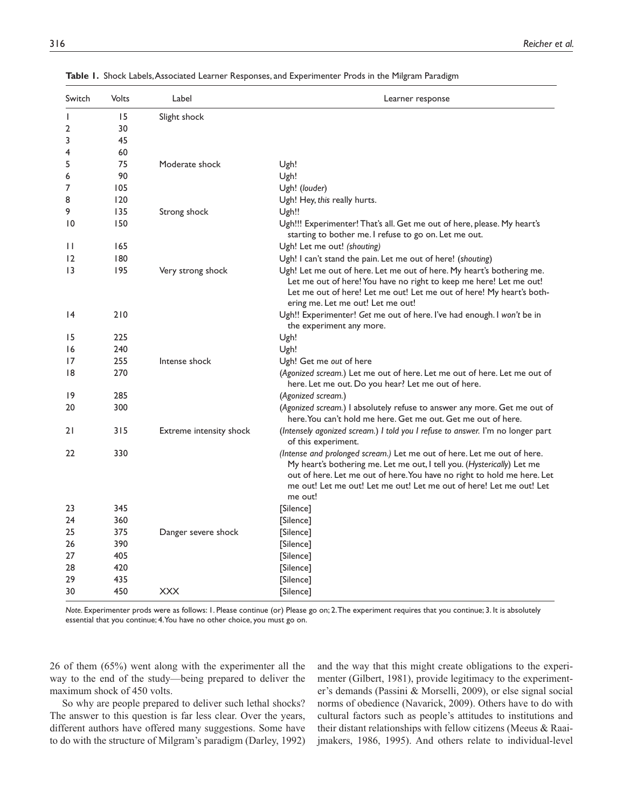| Switch          | Volts | Label                          | Learner response                                                                                                                                                                                                                                                                                               |
|-----------------|-------|--------------------------------|----------------------------------------------------------------------------------------------------------------------------------------------------------------------------------------------------------------------------------------------------------------------------------------------------------------|
| $\mathbf{I}$    | 15    | Slight shock                   |                                                                                                                                                                                                                                                                                                                |
| $\overline{2}$  | 30    |                                |                                                                                                                                                                                                                                                                                                                |
| 3               | 45    |                                |                                                                                                                                                                                                                                                                                                                |
| 4               | 60    |                                |                                                                                                                                                                                                                                                                                                                |
| 5               | 75    | Moderate shock                 | Ugh!                                                                                                                                                                                                                                                                                                           |
| 6               | 90    |                                | Ugh!                                                                                                                                                                                                                                                                                                           |
| 7               | 105   |                                | Ugh! (louder)                                                                                                                                                                                                                                                                                                  |
| 8               | 120   |                                | Ugh! Hey, this really hurts.                                                                                                                                                                                                                                                                                   |
| 9               | 135   | Strong shock                   | Ugh!!                                                                                                                                                                                                                                                                                                          |
| 10              | 150   |                                | Ugh!!! Experimenter! That's all. Get me out of here, please. My heart's<br>starting to bother me. I refuse to go on. Let me out.                                                                                                                                                                               |
| $\mathbf{H}$    | 165   |                                | Ugh! Let me out! (shouting)                                                                                                                                                                                                                                                                                    |
| 12              | 180   |                                | Ugh! I can't stand the pain. Let me out of here! (shouting)                                                                                                                                                                                                                                                    |
| $\overline{13}$ | 195   | Very strong shock              | Ugh! Let me out of here. Let me out of here. My heart's bothering me.<br>Let me out of here! You have no right to keep me here! Let me out!<br>Let me out of here! Let me out! Let me out of here! My heart's both-<br>ering me. Let me out! Let me out!                                                       |
| $\overline{14}$ | 210   |                                | Ugh!! Experimenter! Get me out of here. I've had enough. I won't be in<br>the experiment any more.                                                                                                                                                                                                             |
| 15              | 225   |                                | Ugh!                                                                                                                                                                                                                                                                                                           |
| 16              | 240   |                                | Ugh!                                                                                                                                                                                                                                                                                                           |
| 17              | 255   | Intense shock                  | Ugh! Get me out of here                                                                                                                                                                                                                                                                                        |
| 18              | 270   |                                | (Agonized scream.) Let me out of here. Let me out of here. Let me out of<br>here. Let me out. Do you hear? Let me out of here.                                                                                                                                                                                 |
| 9               | 285   |                                | (Agonized scream.)                                                                                                                                                                                                                                                                                             |
| 20              | 300   |                                | (Agonized scream.) I absolutely refuse to answer any more. Get me out of<br>here. You can't hold me here. Get me out. Get me out of here.                                                                                                                                                                      |
| 21              | 315   | <b>Extreme intensity shock</b> | (Intensely agonized scream.) I told you I refuse to answer. I'm no longer part<br>of this experiment.                                                                                                                                                                                                          |
| 22              | 330   |                                | (Intense and prolonged scream.) Let me out of here. Let me out of here.<br>My heart's bothering me. Let me out, I tell you. (Hysterically) Let me<br>out of here. Let me out of here. You have no right to hold me here. Let<br>me out! Let me out! Let me out! Let me out of here! Let me out! Let<br>me out! |
| 23              | 345   |                                | [Silence]                                                                                                                                                                                                                                                                                                      |
| 24              | 360   |                                | [Silence]                                                                                                                                                                                                                                                                                                      |
| 25              | 375   | Danger severe shock            | [Silence]                                                                                                                                                                                                                                                                                                      |
| 26              | 390   |                                | [Silence]                                                                                                                                                                                                                                                                                                      |
| 27              | 405   |                                | [Silence]                                                                                                                                                                                                                                                                                                      |
| 28              | 420   |                                | [Silence]                                                                                                                                                                                                                                                                                                      |
| 29              | 435   |                                | [Silence]                                                                                                                                                                                                                                                                                                      |
| 30              | 450   | <b>XXX</b>                     | [Silence]                                                                                                                                                                                                                                                                                                      |

**Table 1.** Shock Labels, Associated Learner Responses, and Experimenter Prods in the Milgram Paradigm

*Note.* Experimenter prods were as follows: 1. Please continue (or) Please go on; 2. The experiment requires that you continue; 3. It is absolutely essential that you continue; 4. You have no other choice, you must go on.

26 of them (65%) went along with the experimenter all the way to the end of the study—being prepared to deliver the maximum shock of 450 volts.

So why are people prepared to deliver such lethal shocks? The answer to this question is far less clear. Over the years, different authors have offered many suggestions. Some have to do with the structure of Milgram's paradigm (Darley, 1992) and the way that this might create obligations to the experimenter (Gilbert, 1981), provide legitimacy to the experimenter's demands (Passini & Morselli, 2009), or else signal social norms of obedience (Navarick, 2009). Others have to do with cultural factors such as people's attitudes to institutions and their distant relationships with fellow citizens (Meeus & Raaijmakers, 1986, 1995). And others relate to individual-level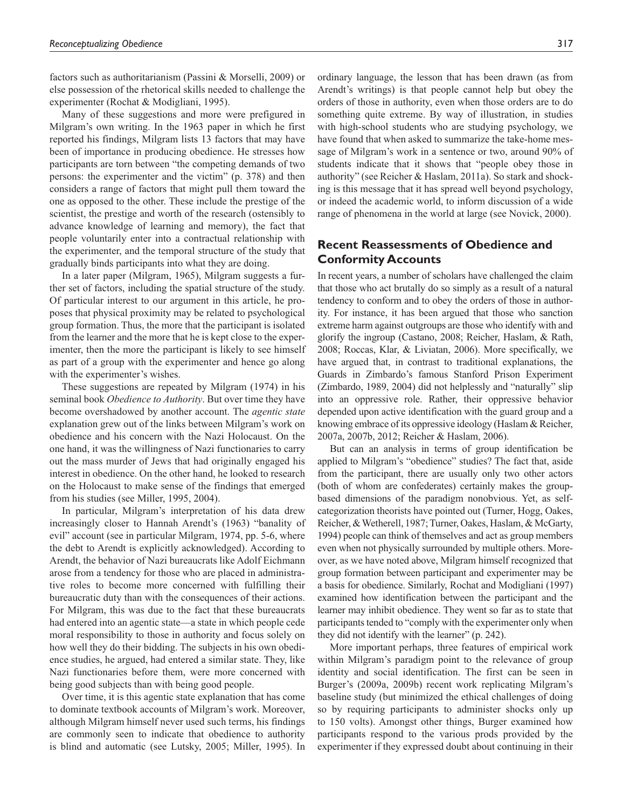factors such as authoritarianism (Passini & Morselli, 2009) or else possession of the rhetorical skills needed to challenge the experimenter (Rochat & Modigliani, 1995).

Many of these suggestions and more were prefigured in Milgram's own writing. In the 1963 paper in which he first reported his findings, Milgram lists 13 factors that may have been of importance in producing obedience. He stresses how participants are torn between "the competing demands of two persons: the experimenter and the victim" (p. 378) and then considers a range of factors that might pull them toward the one as opposed to the other. These include the prestige of the scientist, the prestige and worth of the research (ostensibly to advance knowledge of learning and memory), the fact that people voluntarily enter into a contractual relationship with the experimenter, and the temporal structure of the study that gradually binds participants into what they are doing.

In a later paper (Milgram, 1965), Milgram suggests a further set of factors, including the spatial structure of the study. Of particular interest to our argument in this article, he proposes that physical proximity may be related to psychological group formation. Thus, the more that the participant is isolated from the learner and the more that he is kept close to the experimenter, then the more the participant is likely to see himself as part of a group with the experimenter and hence go along with the experimenter's wishes.

These suggestions are repeated by Milgram (1974) in his seminal book *Obedience to Authority*. But over time they have become overshadowed by another account. The *agentic state* explanation grew out of the links between Milgram's work on obedience and his concern with the Nazi Holocaust. On the one hand, it was the willingness of Nazi functionaries to carry out the mass murder of Jews that had originally engaged his interest in obedience. On the other hand, he looked to research on the Holocaust to make sense of the findings that emerged from his studies (see Miller, 1995, 2004).

In particular, Milgram's interpretation of his data drew increasingly closer to Hannah Arendt's (1963) "banality of evil" account (see in particular Milgram, 1974, pp. 5-6, where the debt to Arendt is explicitly acknowledged). According to Arendt, the behavior of Nazi bureaucrats like Adolf Eichmann arose from a tendency for those who are placed in administrative roles to become more concerned with fulfilling their bureaucratic duty than with the consequences of their actions. For Milgram, this was due to the fact that these bureaucrats had entered into an agentic state—a state in which people cede moral responsibility to those in authority and focus solely on how well they do their bidding. The subjects in his own obedience studies, he argued, had entered a similar state. They, like Nazi functionaries before them, were more concerned with being good subjects than with being good people.

Over time, it is this agentic state explanation that has come to dominate textbook accounts of Milgram's work. Moreover, although Milgram himself never used such terms, his findings are commonly seen to indicate that obedience to authority is blind and automatic (see Lutsky, 2005; Miller, 1995). In ordinary language, the lesson that has been drawn (as from Arendt's writings) is that people cannot help but obey the orders of those in authority, even when those orders are to do something quite extreme. By way of illustration, in studies with high-school students who are studying psychology, we have found that when asked to summarize the take-home message of Milgram's work in a sentence or two, around 90% of students indicate that it shows that "people obey those in authority" (see Reicher & Haslam, 2011a). So stark and shocking is this message that it has spread well beyond psychology, or indeed the academic world, to inform discussion of a wide range of phenomena in the world at large (see Novick, 2000).

# **Recent Reassessments of Obedience and Conformity Accounts**

In recent years, a number of scholars have challenged the claim that those who act brutally do so simply as a result of a natural tendency to conform and to obey the orders of those in authority. For instance, it has been argued that those who sanction extreme harm against outgroups are those who identify with and glorify the ingroup (Castano, 2008; Reicher, Haslam, & Rath, 2008; Roccas, Klar, & Liviatan, 2006). More specifically, we have argued that, in contrast to traditional explanations, the Guards in Zimbardo's famous Stanford Prison Experiment (Zimbardo, 1989, 2004) did not helplessly and "naturally" slip into an oppressive role. Rather, their oppressive behavior depended upon active identification with the guard group and a knowing embrace of its oppressive ideology (Haslam & Reicher, 2007a, 2007b, 2012; Reicher & Haslam, 2006).

But can an analysis in terms of group identification be applied to Milgram's "obedience" studies? The fact that, aside from the participant, there are usually only two other actors (both of whom are confederates) certainly makes the groupbased dimensions of the paradigm nonobvious. Yet, as selfcategorization theorists have pointed out (Turner, Hogg, Oakes, Reicher, & Wetherell, 1987; Turner, Oakes, Haslam, & McGarty, 1994) people can think of themselves and act as group members even when not physically surrounded by multiple others. Moreover, as we have noted above, Milgram himself recognized that group formation between participant and experimenter may be a basis for obedience. Similarly, Rochat and Modigliani (1997) examined how identification between the participant and the learner may inhibit obedience. They went so far as to state that participants tended to "comply with the experimenter only when they did not identify with the learner" (p. 242).

More important perhaps, three features of empirical work within Milgram's paradigm point to the relevance of group identity and social identification. The first can be seen in Burger's (2009a, 2009b) recent work replicating Milgram's baseline study (but minimized the ethical challenges of doing so by requiring participants to administer shocks only up to 150 volts). Amongst other things, Burger examined how participants respond to the various prods provided by the experimenter if they expressed doubt about continuing in their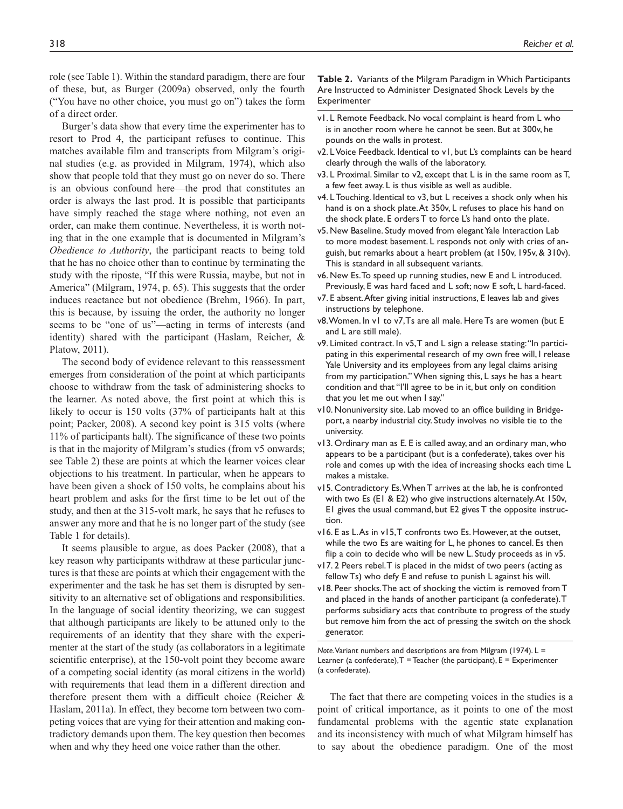role (see Table 1). Within the standard paradigm, there are four of these, but, as Burger (2009a) observed, only the fourth ("You have no other choice, you must go on") takes the form of a direct order.

Burger's data show that every time the experimenter has to resort to Prod 4, the participant refuses to continue. This matches available film and transcripts from Milgram's original studies (e.g. as provided in Milgram, 1974), which also show that people told that they must go on never do so. There is an obvious confound here—the prod that constitutes an order is always the last prod. It is possible that participants have simply reached the stage where nothing, not even an order, can make them continue. Nevertheless, it is worth noting that in the one example that is documented in Milgram's *Obedience to Authority*, the participant reacts to being told that he has no choice other than to continue by terminating the study with the riposte, "If this were Russia, maybe, but not in America" (Milgram, 1974, p. 65). This suggests that the order induces reactance but not obedience (Brehm, 1966). In part, this is because, by issuing the order, the authority no longer seems to be "one of us"—acting in terms of interests (and identity) shared with the participant (Haslam, Reicher, & Platow, 2011).

The second body of evidence relevant to this reassessment emerges from consideration of the point at which participants choose to withdraw from the task of administering shocks to the learner. As noted above, the first point at which this is likely to occur is 150 volts (37% of participants halt at this point; Packer, 2008). A second key point is 315 volts (where 11% of participants halt). The significance of these two points is that in the majority of Milgram's studies (from v5 onwards; see Table 2) these are points at which the learner voices clear objections to his treatment. In particular, when he appears to have been given a shock of 150 volts, he complains about his heart problem and asks for the first time to be let out of the study, and then at the 315-volt mark, he says that he refuses to answer any more and that he is no longer part of the study (see Table 1 for details).

It seems plausible to argue, as does Packer (2008), that a key reason why participants withdraw at these particular junctures is that these are points at which their engagement with the experimenter and the task he has set them is disrupted by sensitivity to an alternative set of obligations and responsibilities. In the language of social identity theorizing, we can suggest that although participants are likely to be attuned only to the requirements of an identity that they share with the experimenter at the start of the study (as collaborators in a legitimate scientific enterprise), at the 150-volt point they become aware of a competing social identity (as moral citizens in the world) with requirements that lead them in a different direction and therefore present them with a difficult choice (Reicher & Haslam, 2011a). In effect, they become torn between two competing voices that are vying for their attention and making contradictory demands upon them. The key question then becomes when and why they heed one voice rather than the other.

**Table 2.** Variants of the Milgram Paradigm in Which Participants Are Instructed to Administer Designated Shock Levels by the Experimenter

- v1. L Remote Feedback. No vocal complaint is heard from L who is in another room where he cannot be seen. But at 300v, he pounds on the walls in protest.
- v2. L Voice Feedback. Identical to v1, but L's complaints can be heard clearly through the walls of the laboratory.
- v3. L Proximal. Similar to v2, except that L is in the same room as T, a few feet away. L is thus visible as well as audible.
- v4. L Touching. Identical to v3, but L receives a shock only when his hand is on a shock plate. At 350v, L refuses to place his hand on the shock plate. E orders T to force L's hand onto the plate.
- v5. New Baseline. Study moved from elegant Yale Interaction Lab to more modest basement. L responds not only with cries of anguish, but remarks about a heart problem (at 150v, 195v, & 310v). This is standard in all subsequent variants.
- v6. New Es. To speed up running studies, new E and L introduced. Previously, E was hard faced and L soft; now E soft, L hard-faced.
- v7. E absent. After giving initial instructions, E leaves lab and gives instructions by telephone.
- v8. Women. In v1 to v7, Ts are all male. Here Ts are women (but E and L are still male).
- v9. Limited contract. In v5, T and L sign a release stating: "In participating in this experimental research of my own free will, I release Yale University and its employees from any legal claims arising from my participation." When signing this, L says he has a heart condition and that "I'll agree to be in it, but only on condition that you let me out when I say."
- v10. Nonuniversity site. Lab moved to an office building in Bridgeport, a nearby industrial city. Study involves no visible tie to the university.
- v13. Ordinary man as E. E is called away, and an ordinary man, who appears to be a participant (but is a confederate), takes over his role and comes up with the idea of increasing shocks each time L makes a mistake.
- v15. Contradictory Es. When T arrives at the lab, he is confronted with two Es (E1 & E2) who give instructions alternately. At 150v, E1 gives the usual command, but E2 gives T the opposite instruction.
- v16. E as L. As in v15, T confronts two Es. However, at the outset, while the two Es are waiting for L, he phones to cancel. Es then flip a coin to decide who will be new L. Study proceeds as in v5.
- v17. 2 Peers rebel. T is placed in the midst of two peers (acting as fellow Ts) who defy E and refuse to punish L against his will.
- v18. Peer shocks. The act of shocking the victim is removed from T and placed in the hands of another participant (a confederate). T performs subsidiary acts that contribute to progress of the study but remove him from the act of pressing the switch on the shock generator.

*Note*. Variant numbers and descriptions are from Milgram (1974). L = Learner (a confederate),  $T =$  Teacher (the participant),  $E =$  Experimenter (a confederate).

The fact that there are competing voices in the studies is a point of critical importance, as it points to one of the most fundamental problems with the agentic state explanation and its inconsistency with much of what Milgram himself has to say about the obedience paradigm. One of the most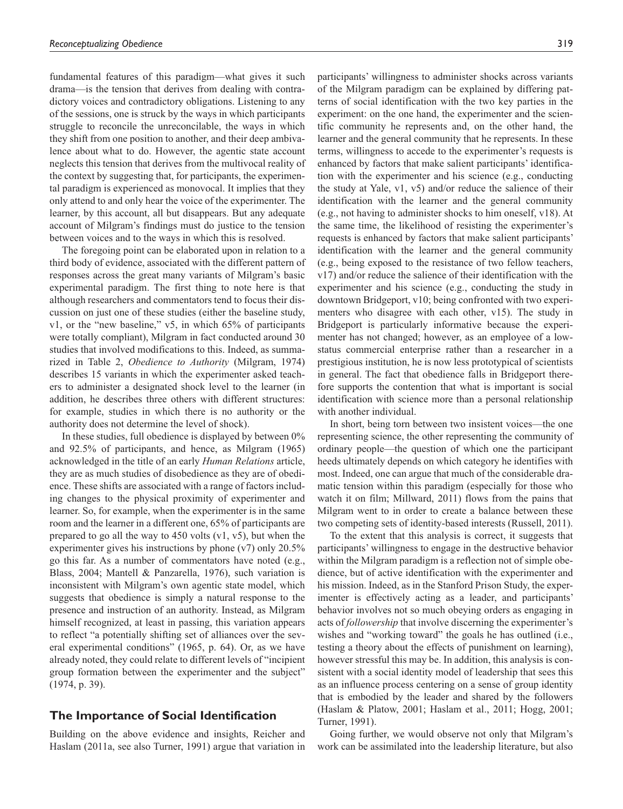fundamental features of this paradigm—what gives it such drama—is the tension that derives from dealing with contradictory voices and contradictory obligations. Listening to any of the sessions, one is struck by the ways in which participants struggle to reconcile the unreconcilable, the ways in which they shift from one position to another, and their deep ambivalence about what to do. However, the agentic state account neglects this tension that derives from the multivocal reality of the context by suggesting that, for participants, the experimental paradigm is experienced as monovocal. It implies that they only attend to and only hear the voice of the experimenter. The learner, by this account, all but disappears. But any adequate account of Milgram's findings must do justice to the tension between voices and to the ways in which this is resolved.

The foregoing point can be elaborated upon in relation to a third body of evidence, associated with the different pattern of responses across the great many variants of Milgram's basic experimental paradigm. The first thing to note here is that although researchers and commentators tend to focus their discussion on just one of these studies (either the baseline study, v1, or the "new baseline," v5, in which 65% of participants were totally compliant), Milgram in fact conducted around 30 studies that involved modifications to this. Indeed, as summarized in Table 2, *Obedience to Authority* (Milgram, 1974) describes 15 variants in which the experimenter asked teachers to administer a designated shock level to the learner (in addition, he describes three others with different structures: for example, studies in which there is no authority or the authority does not determine the level of shock).

In these studies, full obedience is displayed by between 0% and 92.5% of participants, and hence, as Milgram (1965) acknowledged in the title of an early *Human Relations* article, they are as much studies of disobedience as they are of obedience. These shifts are associated with a range of factors including changes to the physical proximity of experimenter and learner. So, for example, when the experimenter is in the same room and the learner in a different one, 65% of participants are prepared to go all the way to  $450$  volts (v1, v5), but when the experimenter gives his instructions by phone (v7) only 20.5% go this far. As a number of commentators have noted (e.g., Blass, 2004; Mantell & Panzarella, 1976), such variation is inconsistent with Milgram's own agentic state model, which suggests that obedience is simply a natural response to the presence and instruction of an authority. Instead, as Milgram himself recognized, at least in passing, this variation appears to reflect "a potentially shifting set of alliances over the several experimental conditions" (1965, p. 64). Or, as we have already noted, they could relate to different levels of "incipient group formation between the experimenter and the subject" (1974, p. 39).

# **The Importance of Social Identification**

Building on the above evidence and insights, Reicher and Haslam (2011a, see also Turner, 1991) argue that variation in

participants' willingness to administer shocks across variants of the Milgram paradigm can be explained by differing patterns of social identification with the two key parties in the experiment: on the one hand, the experimenter and the scientific community he represents and, on the other hand, the learner and the general community that he represents. In these terms, willingness to accede to the experimenter's requests is enhanced by factors that make salient participants' identification with the experimenter and his science (e.g., conducting the study at Yale, v1, v5) and/or reduce the salience of their identification with the learner and the general community (e.g., not having to administer shocks to him oneself, v18). At the same time, the likelihood of resisting the experimenter's requests is enhanced by factors that make salient participants' identification with the learner and the general community (e.g., being exposed to the resistance of two fellow teachers, v17) and/or reduce the salience of their identification with the experimenter and his science (e.g., conducting the study in downtown Bridgeport, v10; being confronted with two experimenters who disagree with each other, v15). The study in Bridgeport is particularly informative because the experimenter has not changed; however, as an employee of a lowstatus commercial enterprise rather than a researcher in a prestigious institution, he is now less prototypical of scientists in general. The fact that obedience falls in Bridgeport therefore supports the contention that what is important is social identification with science more than a personal relationship with another individual.

In short, being torn between two insistent voices—the one representing science, the other representing the community of ordinary people—the question of which one the participant heeds ultimately depends on which category he identifies with most. Indeed, one can argue that much of the considerable dramatic tension within this paradigm (especially for those who watch it on film; Millward, 2011) flows from the pains that Milgram went to in order to create a balance between these two competing sets of identity-based interests (Russell, 2011).

To the extent that this analysis is correct, it suggests that participants' willingness to engage in the destructive behavior within the Milgram paradigm is a reflection not of simple obedience, but of active identification with the experimenter and his mission. Indeed, as in the Stanford Prison Study, the experimenter is effectively acting as a leader, and participants' behavior involves not so much obeying orders as engaging in acts of *followership* that involve discerning the experimenter's wishes and "working toward" the goals he has outlined (i.e., testing a theory about the effects of punishment on learning), however stressful this may be. In addition, this analysis is consistent with a social identity model of leadership that sees this as an influence process centering on a sense of group identity that is embodied by the leader and shared by the followers (Haslam & Platow, 2001; Haslam et al., 2011; Hogg, 2001; Turner, 1991).

Going further, we would observe not only that Milgram's work can be assimilated into the leadership literature, but also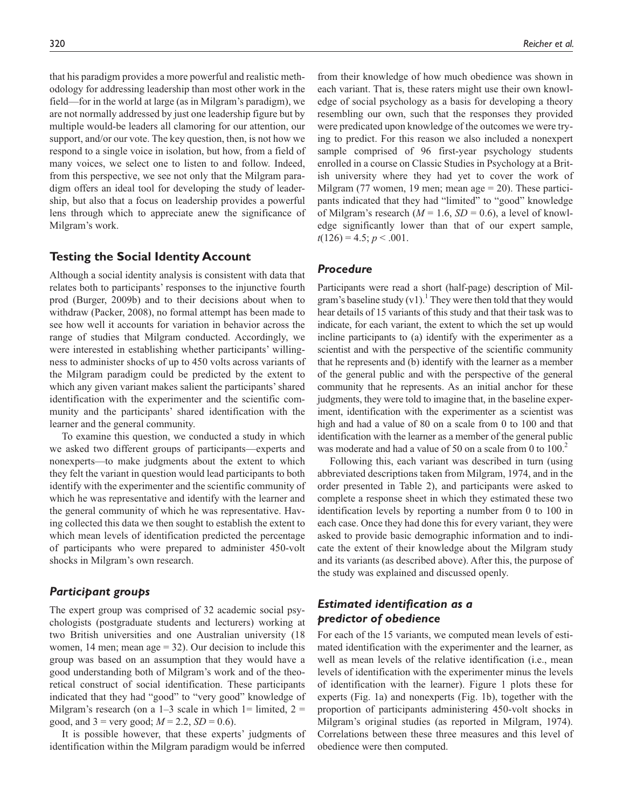that his paradigm provides a more powerful and realistic methodology for addressing leadership than most other work in the field—for in the world at large (as in Milgram's paradigm), we are not normally addressed by just one leadership figure but by multiple would-be leaders all clamoring for our attention, our support, and/or our vote. The key question, then, is not how we respond to a single voice in isolation, but how, from a field of many voices, we select one to listen to and follow. Indeed, from this perspective, we see not only that the Milgram paradigm offers an ideal tool for developing the study of leader-

ship, but also that a focus on leadership provides a powerful lens through which to appreciate anew the significance of Milgram's work.

# **Testing the Social Identity Account**

Although a social identity analysis is consistent with data that relates both to participants' responses to the injunctive fourth prod (Burger, 2009b) and to their decisions about when to withdraw (Packer, 2008), no formal attempt has been made to see how well it accounts for variation in behavior across the range of studies that Milgram conducted. Accordingly, we were interested in establishing whether participants' willingness to administer shocks of up to 450 volts across variants of the Milgram paradigm could be predicted by the extent to which any given variant makes salient the participants' shared identification with the experimenter and the scientific community and the participants' shared identification with the learner and the general community.

To examine this question, we conducted a study in which we asked two different groups of participants—experts and nonexperts—to make judgments about the extent to which they felt the variant in question would lead participants to both identify with the experimenter and the scientific community of which he was representative and identify with the learner and the general community of which he was representative. Having collected this data we then sought to establish the extent to which mean levels of identification predicted the percentage of participants who were prepared to administer 450-volt shocks in Milgram's own research.

# *Participant groups*

The expert group was comprised of 32 academic social psychologists (postgraduate students and lecturers) working at two British universities and one Australian university (18 women, 14 men; mean  $age = 32$ ). Our decision to include this group was based on an assumption that they would have a good understanding both of Milgram's work and of the theoretical construct of social identification. These participants indicated that they had "good" to "very good" knowledge of Milgram's research (on a  $1-3$  scale in which  $1=$  limited,  $2=$ good, and  $3 =$  very good;  $M = 2.2$ ,  $SD = 0.6$ ).

It is possible however, that these experts' judgments of identification within the Milgram paradigm would be inferred

from their knowledge of how much obedience was shown in each variant. That is, these raters might use their own knowledge of social psychology as a basis for developing a theory resembling our own, such that the responses they provided were predicated upon knowledge of the outcomes we were trying to predict. For this reason we also included a nonexpert sample comprised of 96 first-year psychology students enrolled in a course on Classic Studies in Psychology at a British university where they had yet to cover the work of Milgram (77 women, 19 men; mean age  $= 20$ ). These participants indicated that they had "limited" to "good" knowledge of Milgram's research  $(M = 1.6, SD = 0.6)$ , a level of knowledge significantly lower than that of our expert sample,  $t(126) = 4.5$ ;  $p < .001$ .

# *Procedure*

Participants were read a short (half-page) description of Milgram's baseline study  $(v1)$ .<sup>1</sup> They were then told that they would hear details of 15 variants of this study and that their task was to indicate, for each variant, the extent to which the set up would incline participants to (a) identify with the experimenter as a scientist and with the perspective of the scientific community that he represents and (b) identify with the learner as a member of the general public and with the perspective of the general community that he represents. As an initial anchor for these judgments, they were told to imagine that, in the baseline experiment, identification with the experimenter as a scientist was high and had a value of 80 on a scale from 0 to 100 and that identification with the learner as a member of the general public was moderate and had a value of 50 on a scale from 0 to  $100<sup>2</sup>$ 

Following this, each variant was described in turn (using abbreviated descriptions taken from Milgram, 1974, and in the order presented in Table 2), and participants were asked to complete a response sheet in which they estimated these two identification levels by reporting a number from 0 to 100 in each case. Once they had done this for every variant, they were asked to provide basic demographic information and to indicate the extent of their knowledge about the Milgram study and its variants (as described above). After this, the purpose of the study was explained and discussed openly.

# *Estimated identification as a predictor of obedience*

For each of the 15 variants, we computed mean levels of estimated identification with the experimenter and the learner, as well as mean levels of the relative identification (i.e., mean levels of identification with the experimenter minus the levels of identification with the learner). Figure 1 plots these for experts (Fig. 1a) and nonexperts (Fig. 1b), together with the proportion of participants administering 450-volt shocks in Milgram's original studies (as reported in Milgram, 1974). Correlations between these three measures and this level of obedience were then computed.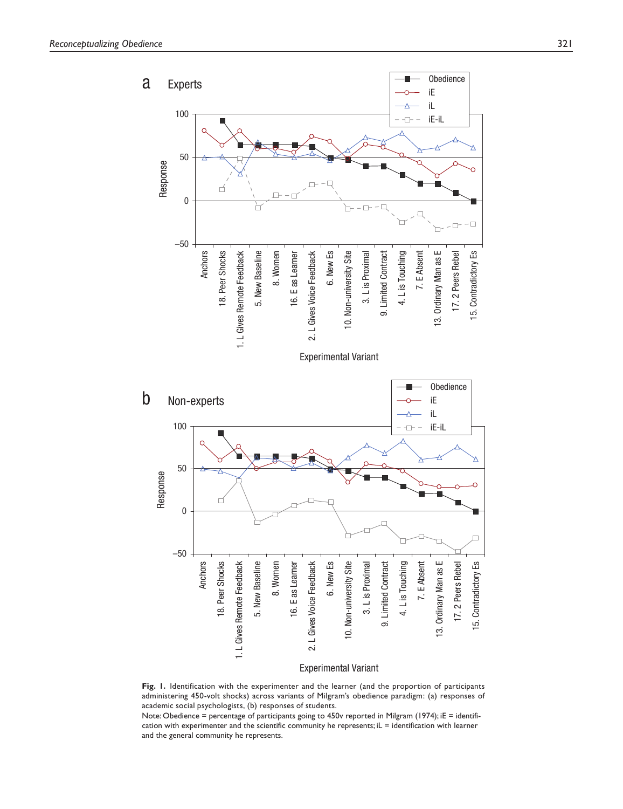

Experimental Variant

**Fig. 1.** Identification with the experimenter and the learner (and the proportion of participants administering 450-volt shocks) across variants of Milgram's obedience paradigm: (a) responses of academic social psychologists, (b) responses of students.

Note: Obedience = percentage of participants going to 450v reported in Milgram (1974); iE = identification with experimenter and the scientific community he represents; iL = identification with learner and the general community he represents.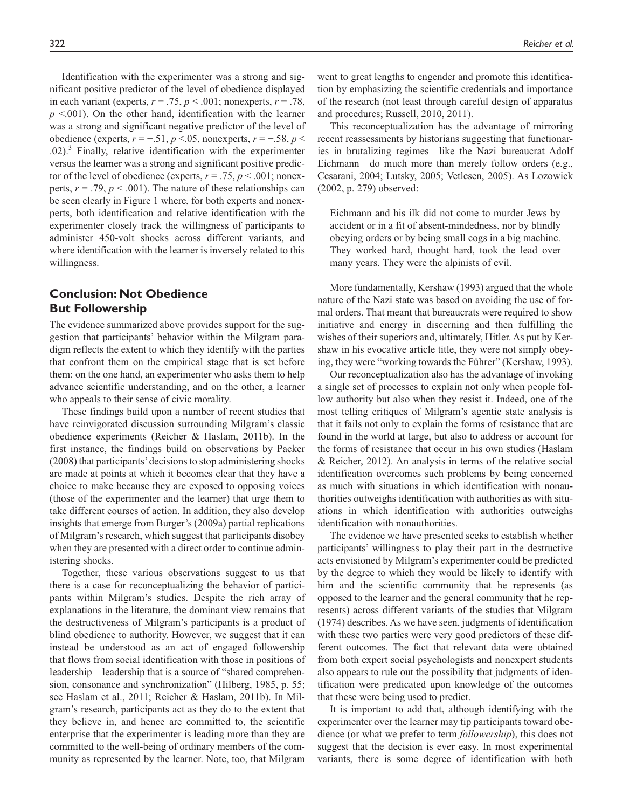Identification with the experimenter was a strong and significant positive predictor of the level of obedience displayed in each variant (experts,  $r = .75$ ,  $p < .001$ ; nonexperts,  $r = .78$ ,  $p$  <.001). On the other hand, identification with the learner was a strong and significant negative predictor of the level of obedience (experts, *r* = −.51, *p* <.05, nonexperts, *r* = −.58, *p* <  $.02$ ).<sup>3</sup> Finally, relative identification with the experimenter versus the learner was a strong and significant positive predictor of the level of obedience (experts,  $r = .75$ ,  $p < .001$ ; nonexperts,  $r = .79$ ,  $p < .001$ ). The nature of these relationships can be seen clearly in Figure 1 where, for both experts and nonexperts, both identification and relative identification with the experimenter closely track the willingness of participants to administer 450-volt shocks across different variants, and where identification with the learner is inversely related to this willingness.

# **Conclusion: Not Obedience But Followership**

The evidence summarized above provides support for the suggestion that participants' behavior within the Milgram paradigm reflects the extent to which they identify with the parties that confront them on the empirical stage that is set before them: on the one hand, an experimenter who asks them to help advance scientific understanding, and on the other, a learner who appeals to their sense of civic morality.

These findings build upon a number of recent studies that have reinvigorated discussion surrounding Milgram's classic obedience experiments (Reicher & Haslam, 2011b). In the first instance, the findings build on observations by Packer (2008) that participants' decisions to stop administering shocks are made at points at which it becomes clear that they have a choice to make because they are exposed to opposing voices (those of the experimenter and the learner) that urge them to take different courses of action. In addition, they also develop insights that emerge from Burger's (2009a) partial replications of Milgram's research, which suggest that participants disobey when they are presented with a direct order to continue administering shocks.

Together, these various observations suggest to us that there is a case for reconceptualizing the behavior of participants within Milgram's studies. Despite the rich array of explanations in the literature, the dominant view remains that the destructiveness of Milgram's participants is a product of blind obedience to authority. However, we suggest that it can instead be understood as an act of engaged followership that flows from social identification with those in positions of leadership—leadership that is a source of "shared comprehension, consonance and synchronization" (Hilberg, 1985, p. 55; see Haslam et al., 2011; Reicher & Haslam, 2011b). In Milgram's research, participants act as they do to the extent that they believe in, and hence are committed to, the scientific enterprise that the experimenter is leading more than they are committed to the well-being of ordinary members of the community as represented by the learner. Note, too, that Milgram

went to great lengths to engender and promote this identification by emphasizing the scientific credentials and importance of the research (not least through careful design of apparatus and procedures; Russell, 2010, 2011).

This reconceptualization has the advantage of mirroring recent reassessments by historians suggesting that functionaries in brutalizing regimes—like the Nazi bureaucrat Adolf Eichmann—do much more than merely follow orders (e.g., Cesarani, 2004; Lutsky, 2005; Vetlesen, 2005). As Lozowick (2002, p. 279) observed:

Eichmann and his ilk did not come to murder Jews by accident or in a fit of absent-mindedness, nor by blindly obeying orders or by being small cogs in a big machine. They worked hard, thought hard, took the lead over many years. They were the alpinists of evil.

More fundamentally, Kershaw (1993) argued that the whole nature of the Nazi state was based on avoiding the use of formal orders. That meant that bureaucrats were required to show initiative and energy in discerning and then fulfilling the wishes of their superiors and, ultimately, Hitler. As put by Kershaw in his evocative article title, they were not simply obeying, they were "working towards the Führer" (Kershaw, 1993).

Our reconceptualization also has the advantage of invoking a single set of processes to explain not only when people follow authority but also when they resist it. Indeed, one of the most telling critiques of Milgram's agentic state analysis is that it fails not only to explain the forms of resistance that are found in the world at large, but also to address or account for the forms of resistance that occur in his own studies (Haslam & Reicher, 2012). An analysis in terms of the relative social identification overcomes such problems by being concerned as much with situations in which identification with nonauthorities outweighs identification with authorities as with situations in which identification with authorities outweighs identification with nonauthorities.

The evidence we have presented seeks to establish whether participants' willingness to play their part in the destructive acts envisioned by Milgram's experimenter could be predicted by the degree to which they would be likely to identify with him and the scientific community that he represents (as opposed to the learner and the general community that he represents) across different variants of the studies that Milgram (1974) describes. As we have seen, judgments of identification with these two parties were very good predictors of these different outcomes. The fact that relevant data were obtained from both expert social psychologists and nonexpert students also appears to rule out the possibility that judgments of identification were predicated upon knowledge of the outcomes that these were being used to predict.

It is important to add that, although identifying with the experimenter over the learner may tip participants toward obedience (or what we prefer to term *followership*), this does not suggest that the decision is ever easy. In most experimental variants, there is some degree of identification with both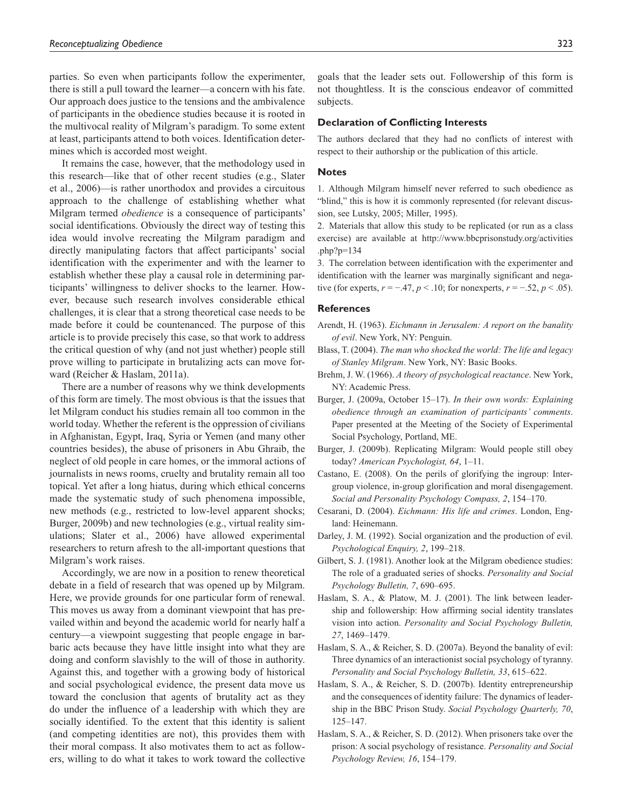parties. So even when participants follow the experimenter, there is still a pull toward the learner—a concern with his fate. Our approach does justice to the tensions and the ambivalence of participants in the obedience studies because it is rooted in the multivocal reality of Milgram's paradigm. To some extent at least, participants attend to both voices. Identification determines which is accorded most weight.

It remains the case, however, that the methodology used in this research—like that of other recent studies (e.g., Slater et al., 2006)—is rather unorthodox and provides a circuitous approach to the challenge of establishing whether what Milgram termed *obedience* is a consequence of participants' social identifications. Obviously the direct way of testing this idea would involve recreating the Milgram paradigm and directly manipulating factors that affect participants' social identification with the experimenter and with the learner to establish whether these play a causal role in determining participants' willingness to deliver shocks to the learner. However, because such research involves considerable ethical challenges, it is clear that a strong theoretical case needs to be made before it could be countenanced. The purpose of this article is to provide precisely this case, so that work to address the critical question of why (and not just whether) people still prove willing to participate in brutalizing acts can move forward (Reicher & Haslam, 2011a).

There are a number of reasons why we think developments of this form are timely. The most obvious is that the issues that let Milgram conduct his studies remain all too common in the world today. Whether the referent is the oppression of civilians in Afghanistan, Egypt, Iraq, Syria or Yemen (and many other countries besides), the abuse of prisoners in Abu Ghraib, the neglect of old people in care homes, or the immoral actions of journalists in news rooms, cruelty and brutality remain all too topical. Yet after a long hiatus, during which ethical concerns made the systematic study of such phenomena impossible, new methods (e.g., restricted to low-level apparent shocks; Burger, 2009b) and new technologies (e.g., virtual reality simulations; Slater et al., 2006) have allowed experimental researchers to return afresh to the all-important questions that Milgram's work raises.

Accordingly, we are now in a position to renew theoretical debate in a field of research that was opened up by Milgram. Here, we provide grounds for one particular form of renewal. This moves us away from a dominant viewpoint that has prevailed within and beyond the academic world for nearly half a century—a viewpoint suggesting that people engage in barbaric acts because they have little insight into what they are doing and conform slavishly to the will of those in authority. Against this, and together with a growing body of historical and social psychological evidence, the present data move us toward the conclusion that agents of brutality act as they do under the influence of a leadership with which they are socially identified. To the extent that this identity is salient (and competing identities are not), this provides them with their moral compass. It also motivates them to act as followers, willing to do what it takes to work toward the collective

goals that the leader sets out. Followership of this form is not thoughtless. It is the conscious endeavor of committed subjects.

#### **Declaration of Conflicting Interests**

The authors declared that they had no conflicts of interest with respect to their authorship or the publication of this article.

#### **Notes**

1. Although Milgram himself never referred to such obedience as "blind," this is how it is commonly represented (for relevant discussion, see Lutsky, 2005; Miller, 1995).

2. Materials that allow this study to be replicated (or run as a class exercise) are available at http://www.bbcprisonstudy.org/activities .php?p=134

3. The correlation between identification with the experimenter and identification with the learner was marginally significant and negative (for experts,  $r = -0.47$ ,  $p < 0.10$ ; for nonexperts,  $r = -0.52$ ,  $p < 0.05$ ).

#### **References**

- Arendt, H. (1963). *Eichmann in Jerusalem: A report on the banality of evil*. New York, NY: Penguin.
- Blass, T. (2004). *The man who shocked the world: The life and legacy of Stanley Milgram*. New York, NY: Basic Books.
- Brehm, J. W. (1966). *A theory of psychological reactance*. New York, NY: Academic Press.
- Burger, J. (2009a, October 15–17). *In their own words: Explaining obedience through an examination of participants' comments*. Paper presented at the Meeting of the Society of Experimental Social Psychology, Portland, ME.
- Burger, J. (2009b). Replicating Milgram: Would people still obey today? *American Psychologist, 64*, 1–11.
- Castano, E. (2008). On the perils of glorifying the ingroup: Intergroup violence, in-group glorification and moral disengagement. *Social and Personality Psychology Compass, 2*, 154–170.
- Cesarani, D. (2004). *Eichmann: His life and crimes*. London, England: Heinemann.
- Darley, J. M. (1992). Social organization and the production of evil. *Psychological Enquiry, 2*, 199–218.
- Gilbert, S. J. (1981). Another look at the Milgram obedience studies: The role of a graduated series of shocks. *Personality and Social Psychology Bulletin, 7*, 690–695.
- Haslam, S. A., & Platow, M. J. (2001). The link between leadership and followership: How affirming social identity translates vision into action. *Personality and Social Psychology Bulletin, 27*, 1469–1479.
- Haslam, S. A., & Reicher, S. D. (2007a). Beyond the banality of evil: Three dynamics of an interactionist social psychology of tyranny. *Personality and Social Psychology Bulletin, 33*, 615–622.
- Haslam, S. A., & Reicher, S. D. (2007b). Identity entrepreneurship and the consequences of identity failure: The dynamics of leadership in the BBC Prison Study. *Social Psychology Quarterly, 70*, 125–147.
- Haslam, S. A., & Reicher, S. D. (2012). When prisoners take over the prison: A social psychology of resistance. *Personality and Social Psychology Review, 16*, 154–179.